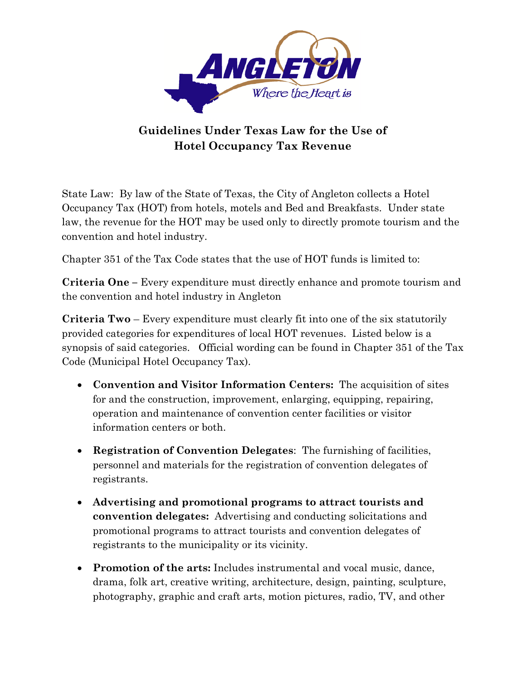

## **Guidelines Under Texas Law for the Use of Hotel Occupancy Tax Revenue**

State Law: By law of the State of Texas, the City of Angleton collects a Hotel Occupancy Tax (HOT) from hotels, motels and Bed and Breakfasts. Under state law, the revenue for the HOT may be used only to directly promote tourism and the convention and hotel industry.

Chapter 351 of the Tax Code states that the use of HOT funds is limited to:

**Criteria One –** Every expenditure must directly enhance and promote tourism and the convention and hotel industry in Angleton

**Criteria Two** – Every expenditure must clearly fit into one of the six statutorily provided categories for expenditures of local HOT revenues. Listed below is a synopsis of said categories. Official wording can be found in Chapter 351 of the Tax Code (Municipal Hotel Occupancy Tax).

- **Convention and Visitor Information Centers:** The acquisition of sites for and the construction, improvement, enlarging, equipping, repairing, operation and maintenance of convention center facilities or visitor information centers or both.
- **Registration of Convention Delegates**: The furnishing of facilities, personnel and materials for the registration of convention delegates of registrants.
- **Advertising and promotional programs to attract tourists and convention delegates:** Advertising and conducting solicitations and promotional programs to attract tourists and convention delegates of registrants to the municipality or its vicinity.
- **Promotion of the arts:** Includes instrumental and vocal music, dance, drama, folk art, creative writing, architecture, design, painting, sculpture, photography, graphic and craft arts, motion pictures, radio, TV, and other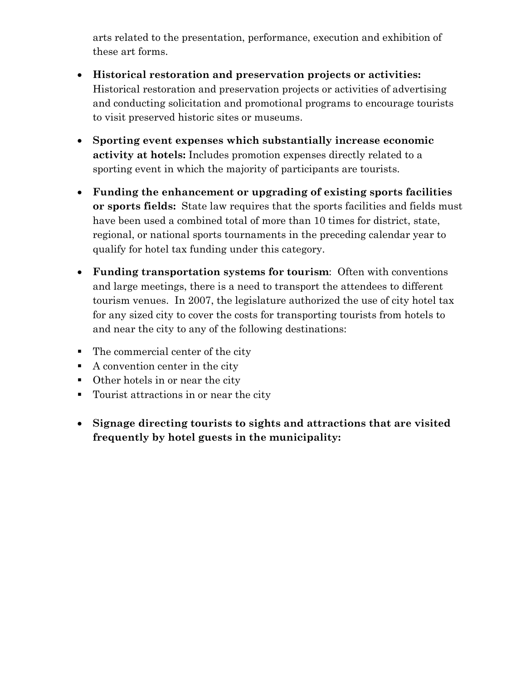arts related to the presentation, performance, execution and exhibition of these art forms.

- **Historical restoration and preservation projects or activities:** Historical restoration and preservation projects or activities of advertising and conducting solicitation and promotional programs to encourage tourists to visit preserved historic sites or museums.
- **Sporting event expenses which substantially increase economic activity at hotels:** Includes promotion expenses directly related to a sporting event in which the majority of participants are tourists.
- **Funding the enhancement or upgrading of existing sports facilities or sports fields:** State law requires that the sports facilities and fields must have been used a combined total of more than 10 times for district, state, regional, or national sports tournaments in the preceding calendar year to qualify for hotel tax funding under this category.
- **Funding transportation systems for tourism**: Often with conventions and large meetings, there is a need to transport the attendees to different tourism venues. In 2007, the legislature authorized the use of city hotel tax for any sized city to cover the costs for transporting tourists from hotels to and near the city to any of the following destinations:
- The commercial center of the city
- $\blacksquare$  A convention center in the city
- Other hotels in or near the city
- Tourist attractions in or near the city
- **Signage directing tourists to sights and attractions that are visited frequently by hotel guests in the municipality:**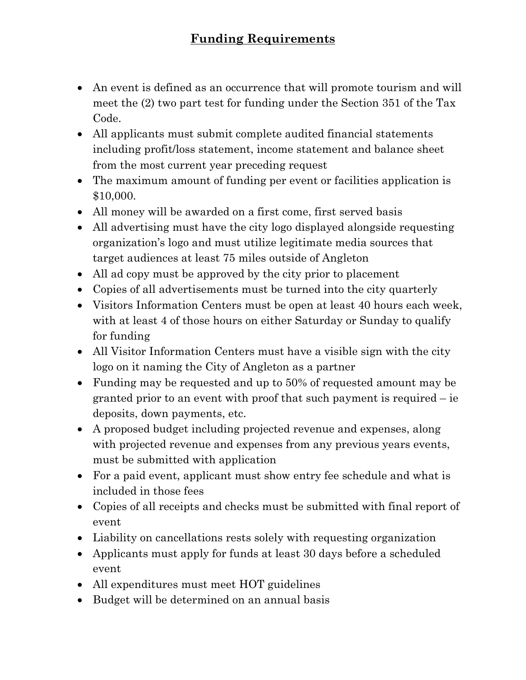- An event is defined as an occurrence that will promote tourism and will meet the (2) two part test for funding under the Section 351 of the Tax Code.
- All applicants must submit complete audited financial statements including profit/loss statement, income statement and balance sheet from the most current year preceding request
- The maximum amount of funding per event or facilities application is \$10,000.
- All money will be awarded on a first come, first served basis
- All advertising must have the city logo displayed alongside requesting organization's logo and must utilize legitimate media sources that target audiences at least 75 miles outside of Angleton
- All ad copy must be approved by the city prior to placement
- Copies of all advertisements must be turned into the city quarterly
- Visitors Information Centers must be open at least 40 hours each week, with at least 4 of those hours on either Saturday or Sunday to qualify for funding
- All Visitor Information Centers must have a visible sign with the city logo on it naming the City of Angleton as a partner
- Funding may be requested and up to 50% of requested amount may be granted prior to an event with proof that such payment is required – ie deposits, down payments, etc.
- A proposed budget including projected revenue and expenses, along with projected revenue and expenses from any previous years events, must be submitted with application
- For a paid event, applicant must show entry fee schedule and what is included in those fees
- Copies of all receipts and checks must be submitted with final report of event
- Liability on cancellations rests solely with requesting organization
- Applicants must apply for funds at least 30 days before a scheduled event
- All expenditures must meet HOT guidelines
- Budget will be determined on an annual basis